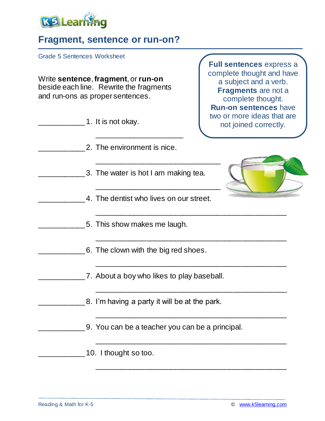

## **Fragment, sentence or run-on?**

Grade 5 Sentences Worksheet

Write **sentence**, **fragment**, or **run-on** beside each line. Rewrite the fragments and run-ons as proper sentences.

| 1. It is not okay.                              | <b>Run-on sentences have</b><br>two or more ideas that are<br>not joined correctly. |
|-------------------------------------------------|-------------------------------------------------------------------------------------|
| 2. The environment is nice.                     |                                                                                     |
| 3. The water is hot I am making tea.            |                                                                                     |
| 4. The dentist who lives on our street.         |                                                                                     |
| 5. This show makes me laugh.                    |                                                                                     |
| 6. The clown with the big red shoes.            |                                                                                     |
| 7. About a boy who likes to play baseball.      |                                                                                     |
| 8. I'm having a party it will be at the park.   |                                                                                     |
| 9. You can be a teacher you can be a principal. |                                                                                     |
| 10. I thought so too.                           |                                                                                     |

\_\_\_\_\_\_\_\_\_\_\_\_\_\_\_\_\_\_\_\_\_\_\_\_\_\_\_\_\_\_\_\_\_\_\_\_\_\_\_\_\_\_\_\_\_\_

**Full sentences** express a complete thought and have a subject and a verb. **Fragments** are not a complete thought.